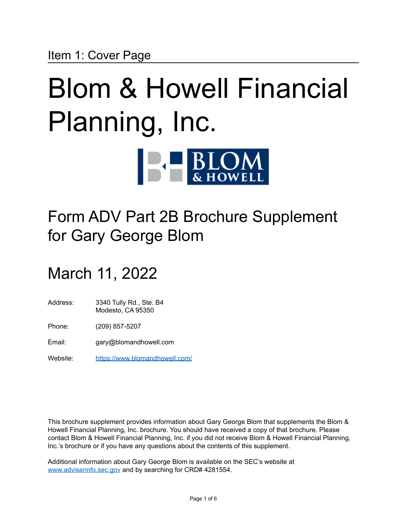# Blom & Howell Financial Planning, Inc. **BLOM**

## Form ADV Part 2B Brochure Supplement for Gary George Blom

### March 11, 2022

- Address: 3340 Tully Rd., Ste. B4 Modesto, CA 95350
- Phone: (209) 857-5207
- Email: gary@blomandhowell.com
- Website: <https://www.blomandhowell.com/>

This brochure supplement provides information about Gary George Blom that supplements the Blom & Howell Financial Planning, Inc. brochure. You should have received a copy of that brochure. Please contact Blom & Howell Financial Planning, Inc. if you did not receive Blom & Howell Financial Planning, Inc.'s brochure or if you have any questions about the contents of this supplement.

Additional information about Gary George Blom is available on the SEC's website at [www.adviserinfo.sec.gov](http://www.adviserinfo.sec.gov) and by searching for CRD# 4281554.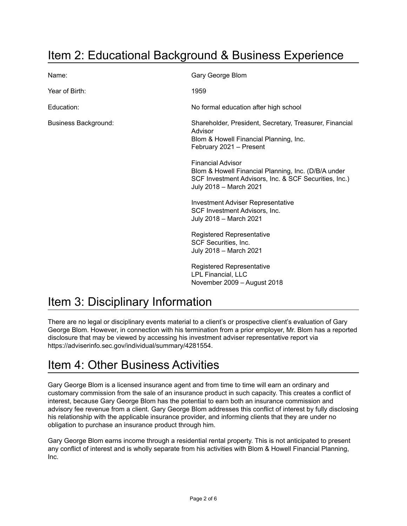### Item 2: Educational Background & Business Experience

| Name:                       | Gary George Blom                                                                                                                                                   |
|-----------------------------|--------------------------------------------------------------------------------------------------------------------------------------------------------------------|
| Year of Birth:              | 1959                                                                                                                                                               |
| Education:                  | No formal education after high school                                                                                                                              |
| <b>Business Background:</b> | Shareholder, President, Secretary, Treasurer, Financial<br>Advisor<br>Blom & Howell Financial Planning, Inc.<br>February 2021 - Present                            |
|                             | <b>Financial Advisor</b><br>Blom & Howell Financial Planning, Inc. (D/B/A under<br>SCF Investment Advisors, Inc. & SCF Securities, Inc.)<br>July 2018 - March 2021 |
|                             | <b>Investment Adviser Representative</b><br>SCF Investment Advisors, Inc.<br>July 2018 - March 2021                                                                |
|                             | <b>Registered Representative</b><br>SCF Securities, Inc.<br>July 2018 - March 2021                                                                                 |
|                             | <b>Registered Representative</b><br>LPL Financial, LLC<br>November 2009 - August 2018                                                                              |

### Item 3: Disciplinary Information

There are no legal or disciplinary events material to a client's or prospective client's evaluation of Gary George Blom. However, in connection with his termination from a prior employer, Mr. Blom has a reported disclosure that may be viewed by accessing his investment adviser representative report via https://adviserinfo.sec.gov/individual/summary/4281554.

### Item 4: Other Business Activities

Gary George Blom is a licensed insurance agent and from time to time will earn an ordinary and customary commission from the sale of an insurance product in such capacity. This creates a conflict of interest, because Gary George Blom has the potential to earn both an insurance commission and advisory fee revenue from a client. Gary George Blom addresses this conflict of interest by fully disclosing his relationship with the applicable insurance provider, and informing clients that they are under no obligation to purchase an insurance product through him.

Gary George Blom earns income through a residential rental property. This is not anticipated to present any conflict of interest and is wholly separate from his activities with Blom & Howell Financial Planning, Inc.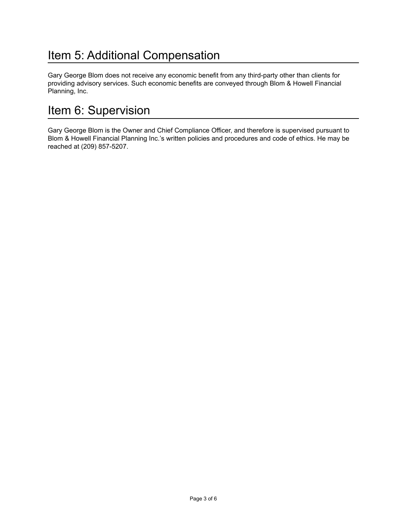### Item 5: Additional Compensation

Gary George Blom does not receive any economic benefit from any third-party other than clients for providing advisory services. Such economic benefits are conveyed through Blom & Howell Financial Planning, Inc.

### Item 6: Supervision

Gary George Blom is the Owner and Chief Compliance Officer, and therefore is supervised pursuant to Blom & Howell Financial Planning Inc.'s written policies and procedures and code of ethics. He may be reached at (209) 857-5207.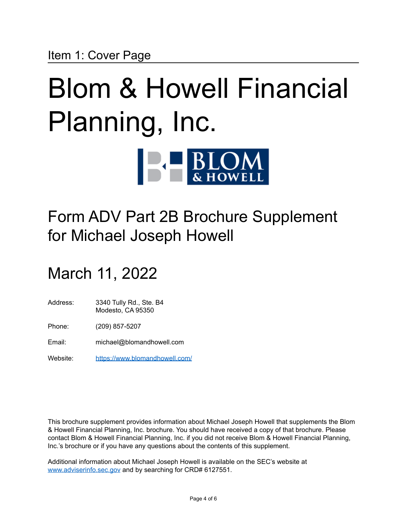# Blom & Howell Financial Planning, Inc. **BLOM**

## Form ADV Part 2B Brochure Supplement for Michael Joseph Howell

## March 11, 2022

- Address: 3340 Tully Rd., Ste. B4 Modesto, CA 95350
- Phone: (209) 857-5207
- Email: michael@blomandhowell.com
- Website: <https://www.blomandhowell.com/>

This brochure supplement provides information about Michael Joseph Howell that supplements the Blom & Howell Financial Planning, Inc. brochure. You should have received a copy of that brochure. Please contact Blom & Howell Financial Planning, Inc. if you did not receive Blom & Howell Financial Planning, Inc.'s brochure or if you have any questions about the contents of this supplement.

Additional information about Michael Joseph Howell is available on the SEC's website at [www.adviserinfo.sec.gov](http://www.adviserinfo.sec.gov) and by searching for CRD# 6127551.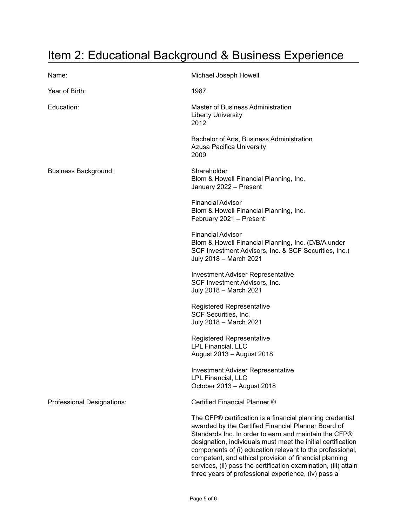### Item 2: Educational Background & Business Experience

| Name:                       | Michael Joseph Howell                                                                                                                                                                                                                                                                                                                                                                                                                                                                      |
|-----------------------------|--------------------------------------------------------------------------------------------------------------------------------------------------------------------------------------------------------------------------------------------------------------------------------------------------------------------------------------------------------------------------------------------------------------------------------------------------------------------------------------------|
| Year of Birth:              | 1987                                                                                                                                                                                                                                                                                                                                                                                                                                                                                       |
| Education:                  | Master of Business Administration<br><b>Liberty University</b><br>2012                                                                                                                                                                                                                                                                                                                                                                                                                     |
|                             | Bachelor of Arts, Business Administration<br>Azusa Pacifica University<br>2009                                                                                                                                                                                                                                                                                                                                                                                                             |
| <b>Business Background:</b> | Shareholder<br>Blom & Howell Financial Planning, Inc.<br>January 2022 - Present                                                                                                                                                                                                                                                                                                                                                                                                            |
|                             | <b>Financial Advisor</b><br>Blom & Howell Financial Planning, Inc.<br>February 2021 - Present                                                                                                                                                                                                                                                                                                                                                                                              |
|                             | <b>Financial Advisor</b><br>Blom & Howell Financial Planning, Inc. (D/B/A under<br>SCF Investment Advisors, Inc. & SCF Securities, Inc.)<br>July 2018 - March 2021                                                                                                                                                                                                                                                                                                                         |
|                             | <b>Investment Adviser Representative</b><br>SCF Investment Advisors, Inc.<br>July 2018 - March 2021                                                                                                                                                                                                                                                                                                                                                                                        |
|                             | <b>Registered Representative</b><br>SCF Securities, Inc.<br>July 2018 - March 2021                                                                                                                                                                                                                                                                                                                                                                                                         |
|                             | <b>Registered Representative</b><br>LPL Financial, LLC<br>August 2013 - August 2018                                                                                                                                                                                                                                                                                                                                                                                                        |
|                             | <b>Investment Adviser Representative</b><br>LPL Financial, LLC<br>October 2013 - August 2018                                                                                                                                                                                                                                                                                                                                                                                               |
| Professional Designations:  | Certified Financial Planner ®                                                                                                                                                                                                                                                                                                                                                                                                                                                              |
|                             | The CFP® certification is a financial planning credential<br>awarded by the Certified Financial Planner Board of<br>Standards Inc. In order to earn and maintain the CFP®<br>designation, individuals must meet the initial certification<br>components of (i) education relevant to the professional,<br>competent, and ethical provision of financial planning<br>services, (ii) pass the certification examination, (iii) attain<br>three years of professional experience, (iv) pass a |